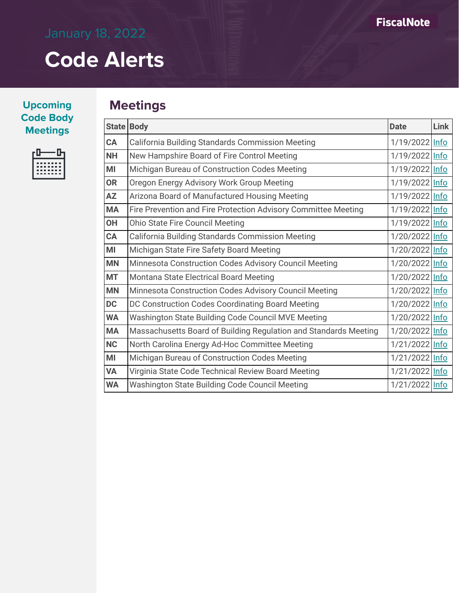**Upcoming Code Body**   $M$  **Meetings** 

|  | -------<br>------- |  |  |
|--|--------------------|--|--|
|  | .<br>.             |  |  |
|  |                    |  |  |

## **Meetings**

|           | State Body                                                       | <b>Date</b>    | Link |
|-----------|------------------------------------------------------------------|----------------|------|
| CA        | <b>California Building Standards Commission Meeting</b>          | 1/19/2022 Info |      |
| <b>NH</b> | New Hampshire Board of Fire Control Meeting                      | 1/19/2022 Info |      |
| MI        | Michigan Bureau of Construction Codes Meeting                    | 1/19/2022 Info |      |
| <b>OR</b> | Oregon Energy Advisory Work Group Meeting                        | 1/19/2022 Info |      |
| <b>AZ</b> | Arizona Board of Manufactured Housing Meeting                    | 1/19/2022 Info |      |
| <b>MA</b> | Fire Prevention and Fire Protection Advisory Committee Meeting   | 1/19/2022 Info |      |
| <b>OH</b> | <b>Ohio State Fire Council Meeting</b>                           | 1/19/2022 Info |      |
| CA        | <b>California Building Standards Commission Meeting</b>          | 1/20/2022 Info |      |
| MI        | Michigan State Fire Safety Board Meeting                         | 1/20/2022 Info |      |
| <b>MN</b> | Minnesota Construction Codes Advisory Council Meeting            | 1/20/2022 Info |      |
| <b>MT</b> | Montana State Electrical Board Meeting                           | 1/20/2022 Info |      |
| <b>MN</b> | Minnesota Construction Codes Advisory Council Meeting            | 1/20/2022 Info |      |
| <b>DC</b> | DC Construction Codes Coordinating Board Meeting                 | 1/20/2022 Info |      |
| <b>WA</b> | Washington State Building Code Council MVE Meeting               | 1/20/2022 Info |      |
| <b>MA</b> | Massachusetts Board of Building Regulation and Standards Meeting | 1/20/2022 Info |      |
| <b>NC</b> | North Carolina Energy Ad-Hoc Committee Meeting                   | 1/21/2022 Info |      |
| MI        | Michigan Bureau of Construction Codes Meeting                    | 1/21/2022 Info |      |
| <b>VA</b> | Virginia State Code Technical Review Board Meeting               | 1/21/2022 Info |      |
| <b>WA</b> | Washington State Building Code Council Meeting                   | 1/21/2022 Info |      |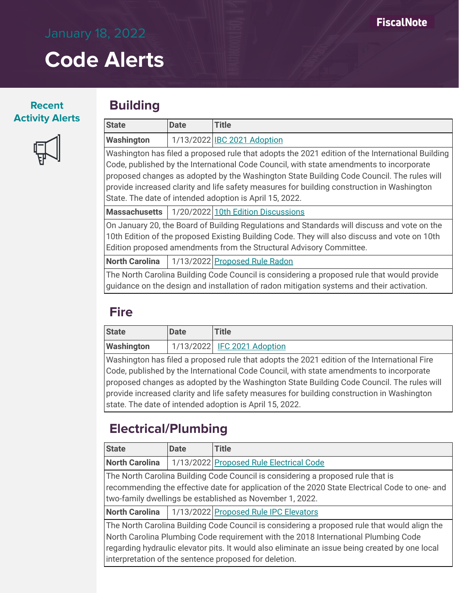#### **Recent Activity Alerts**

### **Building**

| <b>State</b>                                                                                                                                                                                                                                                                                                                                                                                                                                     | <b>Date</b> | <b>Title</b>                                                                                                                                                                                                                                                       |
|--------------------------------------------------------------------------------------------------------------------------------------------------------------------------------------------------------------------------------------------------------------------------------------------------------------------------------------------------------------------------------------------------------------------------------------------------|-------------|--------------------------------------------------------------------------------------------------------------------------------------------------------------------------------------------------------------------------------------------------------------------|
| <b>Washington</b>                                                                                                                                                                                                                                                                                                                                                                                                                                |             | 1/13/2022 IBC 2021 Adoption                                                                                                                                                                                                                                        |
| Washington has filed a proposed rule that adopts the 2021 edition of the International Building<br>Code, published by the International Code Council, with state amendments to incorporate<br>proposed changes as adopted by the Washington State Building Code Council. The rules will<br>provide increased clarity and life safety measures for building construction in Washington<br>State. The date of intended adoption is April 15, 2022. |             |                                                                                                                                                                                                                                                                    |
| Massachusetts                                                                                                                                                                                                                                                                                                                                                                                                                                    |             | 1/20/2022 10th Edition Discussions                                                                                                                                                                                                                                 |
|                                                                                                                                                                                                                                                                                                                                                                                                                                                  |             | On January 20, the Board of Building Regulations and Standards will discuss and vote on the<br>10th Edition of the proposed Existing Building Code. They will also discuss and vote on 10th<br>Edition proposed amendments from the Structural Advisory Committee. |

**North Carolina** | 1/13/2022 [Proposed Rule Radon](https://www.ncosfm.gov/media/2604/open)

The North Carolina Building Code Council is considering a proposed rule that would provide guidance on the design and installation of radon mitigation systems and their activation.

## **Fire**

| <b>State</b>      | <b>Date</b> | Title                       |
|-------------------|-------------|-----------------------------|
| <b>Washington</b> |             | 1/13/2022 IFC 2021 Adoption |

Washington has filed a proposed rule that adopts the 2021 edition of the International Fire Code, published by the International Code Council, with state amendments to incorporate proposed changes as adopted by the Washington State Building Code Council. The rules will provide increased clarity and life safety measures for building construction in Washington state. The date of intended adoption is April 15, 2022.

## **Electrical/Plumbing**

| <b>Date</b> | <b>Title</b>                                                                                   |
|-------------|------------------------------------------------------------------------------------------------|
|             | 1/13/2022 Proposed Rule Electrical Code                                                        |
|             | The North Carolina Building Code Council is considering a proposed rule that is                |
|             | recommending the effective date for application of the 2020 State Electrical Code to one- and  |
|             | two-family dwellings be established as November 1, 2022.                                       |
|             | 1/13/2022 Proposed Rule IPC Elevators                                                          |
|             | The North Carolina Building Code Council is considering a proposed rule that would align the   |
|             | North Carolina Plumbing Code requirement with the 2018 International Plumbing Code             |
|             | regarding hydraulic elevator pits. It would also eliminate an issue being created by one local |
|             | interpretation of the sentence proposed for deletion.                                          |
|             |                                                                                                |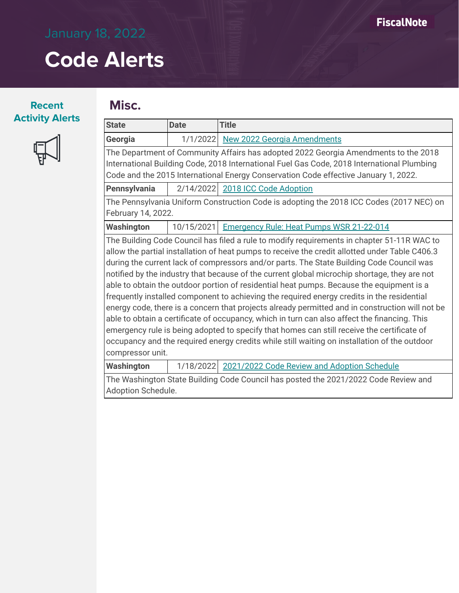### **Recent Activity Alerts**



## **Misc.**

| <b>State</b>        | <b>Date</b>                                                                                  | <b>Title</b>                                                                                    |  |  |  |  |
|---------------------|----------------------------------------------------------------------------------------------|-------------------------------------------------------------------------------------------------|--|--|--|--|
| Georgia             | 1/1/2022                                                                                     | <b>New 2022 Georgia Amendments</b>                                                              |  |  |  |  |
|                     |                                                                                              | The Department of Community Affairs has adopted 2022 Georgia Amendments to the 2018             |  |  |  |  |
|                     | International Building Code, 2018 International Fuel Gas Code, 2018 International Plumbing   |                                                                                                 |  |  |  |  |
|                     |                                                                                              | Code and the 2015 International Energy Conservation Code effective January 1, 2022.             |  |  |  |  |
| <b>Pennsylvania</b> | 2/14/2022                                                                                    | 2018 ICC Code Adoption                                                                          |  |  |  |  |
|                     |                                                                                              | The Pennsylvania Uniform Construction Code is adopting the 2018 ICC Codes (2017 NEC) on         |  |  |  |  |
| February 14, 2022.  |                                                                                              |                                                                                                 |  |  |  |  |
| <b>Washington</b>   | 10/15/2021                                                                                   | <b>Emergency Rule: Heat Pumps WSR 21-22-014</b>                                                 |  |  |  |  |
|                     |                                                                                              | The Building Code Council has filed a rule to modify requirements in chapter 51-11R WAC to      |  |  |  |  |
|                     |                                                                                              | allow the partial installation of heat pumps to receive the credit allotted under Table C406.3  |  |  |  |  |
|                     |                                                                                              | during the current lack of compressors and/or parts. The State Building Code Council was        |  |  |  |  |
|                     |                                                                                              | notified by the industry that because of the current global microchip shortage, they are not    |  |  |  |  |
|                     |                                                                                              | able to obtain the outdoor portion of residential heat pumps. Because the equipment is a        |  |  |  |  |
|                     |                                                                                              | frequently installed component to achieving the required energy credits in the residential      |  |  |  |  |
|                     |                                                                                              | energy code, there is a concern that projects already permitted and in construction will not be |  |  |  |  |
|                     |                                                                                              | able to obtain a certificate of occupancy, which in turn can also affect the financing. This    |  |  |  |  |
|                     |                                                                                              | emergency rule is being adopted to specify that homes can still receive the certificate of      |  |  |  |  |
|                     | occupancy and the required energy credits while still waiting on installation of the outdoor |                                                                                                 |  |  |  |  |
|                     | compressor unit.                                                                             |                                                                                                 |  |  |  |  |
| <b>Washington</b>   | 1/18/2022                                                                                    | 2021/2022 Code Review and Adoption Schedule                                                     |  |  |  |  |
|                     | The Washington State Building Code Council has posted the 2021/2022 Code Review and          |                                                                                                 |  |  |  |  |
| Adoption Schedule.  |                                                                                              |                                                                                                 |  |  |  |  |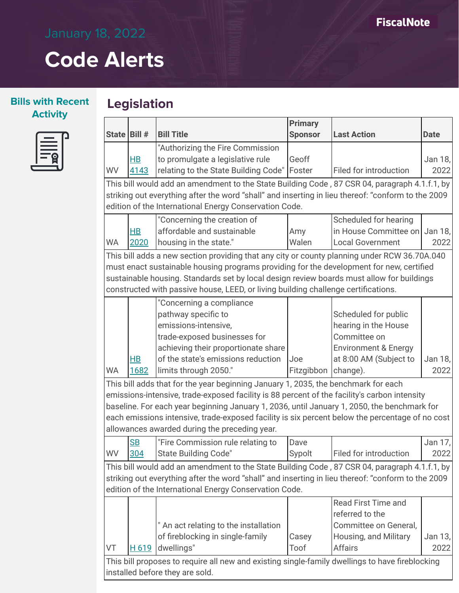# **Code Alerts**

**Legislation**

|              |            |                                                                                                    | <b>Primary</b> |                                 |             |
|--------------|------------|----------------------------------------------------------------------------------------------------|----------------|---------------------------------|-------------|
| State Bill # |            | <b>Bill Title</b>                                                                                  | <b>Sponsor</b> | <b>Last Action</b>              | <b>Date</b> |
|              |            | "Authorizing the Fire Commission                                                                   |                |                                 |             |
|              | $H$ B      | to promulgate a legislative rule                                                                   | Geoff          |                                 | Jan 18,     |
| WV           | 4143       | relating to the State Building Code"                                                               | Foster         | Filed for introduction          | 2022        |
|              |            | This bill would add an amendment to the State Building Code, 87 CSR 04, paragraph 4.1.f.1, by      |                |                                 |             |
|              |            | striking out everything after the word "shall" and inserting in lieu thereof: "conform to the 2009 |                |                                 |             |
|              |            | edition of the International Energy Conservation Code.                                             |                |                                 |             |
|              |            | "Concerning the creation of                                                                        |                | Scheduled for hearing           |             |
|              | $H$ B      | affordable and sustainable                                                                         | Amy            | in House Committee on Jan 18,   |             |
| <b>WA</b>    | 2020       | housing in the state."                                                                             | Walen          | <b>Local Government</b>         | 2022        |
|              |            | This bill adds a new section providing that any city or county planning under RCW 36.70A.040       |                |                                 |             |
|              |            | must enact sustainable housing programs providing for the development for new, certified           |                |                                 |             |
|              |            | sustainable housing. Standards set by local design review boards must allow for buildings          |                |                                 |             |
|              |            | constructed with passive house, LEED, or living building challenge certifications.                 |                |                                 |             |
|              |            | "Concerning a compliance                                                                           |                |                                 |             |
|              |            | pathway specific to                                                                                |                | Scheduled for public            |             |
|              |            | emissions-intensive,                                                                               |                | hearing in the House            |             |
|              |            | trade-exposed businesses for                                                                       |                | Committee on                    |             |
|              |            | achieving their proportionate share                                                                |                | <b>Environment &amp; Energy</b> |             |
|              | $H$ B      | of the state's emissions reduction                                                                 | Joe            | at 8:00 AM (Subject to          | Jan 18,     |
| <b>WA</b>    | 1682       | limits through 2050."                                                                              | Fitzgibbon     | change).                        | 2022        |
|              |            | This bill adds that for the year beginning January 1, 2035, the benchmark for each                 |                |                                 |             |
|              |            | emissions-intensive, trade-exposed facility is 88 percent of the facility's carbon intensity       |                |                                 |             |
|              |            | baseline. For each year beginning January 1, 2036, until January 1, 2050, the benchmark for        |                |                                 |             |
|              |            | each emissions intensive, trade-exposed facility is six percent below the percentage of no cost    |                |                                 |             |
|              |            | allowances awarded during the preceding year.                                                      |                |                                 |             |
|              | <b>SB</b>  | "Fire Commission rule relating to                                                                  | Dave           |                                 | Jan 17,     |
| <b>WV</b>    | <u>304</u> | <b>State Building Code"</b>                                                                        | Sypolt         | Filed for introduction          | 2022        |
|              |            | This bill would add an amendment to the State Building Code, 87 CSR 04, paragraph 4.1.f.1, by      |                |                                 |             |
|              |            | striking out everything after the word "shall" and inserting in lieu thereof: "conform to the 2009 |                |                                 |             |
|              |            | edition of the International Energy Conservation Code.                                             |                |                                 |             |
|              |            |                                                                                                    |                | <b>Read First Time and</b>      |             |
|              |            |                                                                                                    |                | referred to the                 |             |
|              |            | " An act relating to the installation                                                              |                | Committee on General,           |             |
|              |            | of fireblocking in single-family                                                                   | Casey          | Housing, and Military           | Jan 13,     |
| VT           | H 619      | dwellings"                                                                                         | Toof           | <b>Affairs</b>                  | 2022        |
|              |            | This bill proposes to require all new and existing single-family dwellings to have fireblocking    |                |                                 |             |
|              |            | installed before they are sold.                                                                    |                |                                 |             |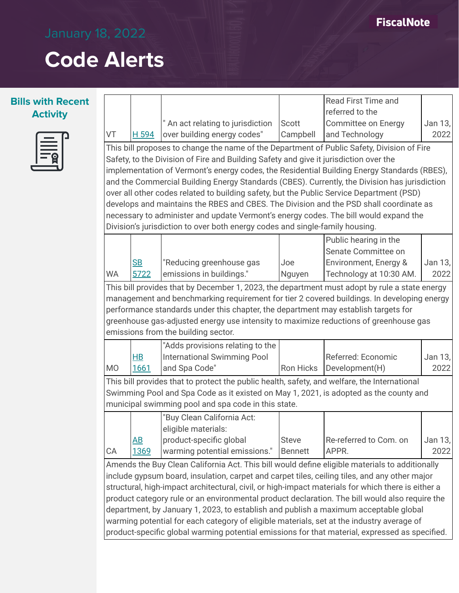### **FiscalNote**

## **Code Alerts**

#### **Bills with Recent Activity**



|                                                                                           |                                                                                                    |                                                                                                |                  | <b>Read First Time and</b> |         |  |  |  |
|-------------------------------------------------------------------------------------------|----------------------------------------------------------------------------------------------------|------------------------------------------------------------------------------------------------|------------------|----------------------------|---------|--|--|--|
|                                                                                           |                                                                                                    |                                                                                                |                  | referred to the            |         |  |  |  |
|                                                                                           |                                                                                                    | " An act relating to jurisdiction                                                              | Scott            | Committee on Energy        | Jan 13, |  |  |  |
| VT                                                                                        | H 594                                                                                              | over building energy codes"                                                                    | Campbell         | and Technology             | 2022    |  |  |  |
|                                                                                           | This bill proposes to change the name of the Department of Public Safety, Division of Fire         |                                                                                                |                  |                            |         |  |  |  |
|                                                                                           |                                                                                                    | Safety, to the Division of Fire and Building Safety and give it jurisdiction over the          |                  |                            |         |  |  |  |
|                                                                                           |                                                                                                    | implementation of Vermont's energy codes, the Residential Building Energy Standards (RBES),    |                  |                            |         |  |  |  |
|                                                                                           |                                                                                                    | and the Commercial Building Energy Standards (CBES). Currently, the Division has jurisdiction  |                  |                            |         |  |  |  |
|                                                                                           |                                                                                                    | over all other codes related to building safety, but the Public Service Department (PSD)       |                  |                            |         |  |  |  |
|                                                                                           |                                                                                                    | develops and maintains the RBES and CBES. The Division and the PSD shall coordinate as         |                  |                            |         |  |  |  |
|                                                                                           |                                                                                                    | necessary to administer and update Vermont's energy codes. The bill would expand the           |                  |                            |         |  |  |  |
|                                                                                           |                                                                                                    | Division's jurisdiction to over both energy codes and single-family housing.                   |                  |                            |         |  |  |  |
|                                                                                           |                                                                                                    |                                                                                                |                  | Public hearing in the      |         |  |  |  |
|                                                                                           |                                                                                                    |                                                                                                |                  | Senate Committee on        |         |  |  |  |
|                                                                                           | <b>SB</b>                                                                                          | "Reducing greenhouse gas                                                                       | Joe              | Environment, Energy &      | Jan 13, |  |  |  |
| <b>WA</b>                                                                                 | 5722                                                                                               | emissions in buildings."                                                                       | Nguyen           | Technology at 10:30 AM.    | 2022    |  |  |  |
|                                                                                           |                                                                                                    | This bill provides that by December 1, 2023, the department must adopt by rule a state energy  |                  |                            |         |  |  |  |
|                                                                                           |                                                                                                    | management and benchmarking requirement for tier 2 covered buildings. In developing energy     |                  |                            |         |  |  |  |
|                                                                                           |                                                                                                    | performance standards under this chapter, the department may establish targets for             |                  |                            |         |  |  |  |
|                                                                                           |                                                                                                    | greenhouse gas-adjusted energy use intensity to maximize reductions of greenhouse gas          |                  |                            |         |  |  |  |
|                                                                                           |                                                                                                    | emissions from the building sector.                                                            |                  |                            |         |  |  |  |
|                                                                                           |                                                                                                    | "Adds provisions relating to the                                                               |                  |                            |         |  |  |  |
|                                                                                           | H <sub>B</sub>                                                                                     | <b>International Swimming Pool</b>                                                             |                  | Referred: Economic         | Jan 13, |  |  |  |
| M <sub>O</sub>                                                                            | 1661                                                                                               | and Spa Code"                                                                                  | <b>Ron Hicks</b> | Development(H)             | 2022    |  |  |  |
|                                                                                           |                                                                                                    | This bill provides that to protect the public health, safety, and welfare, the International   |                  |                            |         |  |  |  |
|                                                                                           |                                                                                                    | Swimming Pool and Spa Code as it existed on May 1, 2021, is adopted as the county and          |                  |                            |         |  |  |  |
|                                                                                           |                                                                                                    | municipal swimming pool and spa code in this state.                                            |                  |                            |         |  |  |  |
|                                                                                           |                                                                                                    | "Buy Clean California Act:                                                                     |                  |                            |         |  |  |  |
|                                                                                           |                                                                                                    | eligible materials:                                                                            |                  |                            |         |  |  |  |
|                                                                                           | $\overline{AB}$                                                                                    | product-specific global                                                                        | <b>Steve</b>     | Re-referred to Com. on     | Jan 13, |  |  |  |
| CA                                                                                        | 1369                                                                                               | warming potential emissions."                                                                  | <b>Bennett</b>   | APPR.                      | 2022    |  |  |  |
|                                                                                           |                                                                                                    | Amends the Buy Clean California Act. This bill would define eligible materials to additionally |                  |                            |         |  |  |  |
|                                                                                           |                                                                                                    | include gypsum board, insulation, carpet and carpet tiles, ceiling tiles, and any other major  |                  |                            |         |  |  |  |
|                                                                                           | structural, high-impact architectural, civil, or high-impact materials for which there is either a |                                                                                                |                  |                            |         |  |  |  |
|                                                                                           |                                                                                                    | product category rule or an environmental product declaration. The bill would also require the |                  |                            |         |  |  |  |
|                                                                                           |                                                                                                    | department, by January 1, 2023, to establish and publish a maximum acceptable global           |                  |                            |         |  |  |  |
| warming potential for each category of eligible materials, set at the industry average of |                                                                                                    |                                                                                                |                  |                            |         |  |  |  |

product-specific global warming potential emissions for that material, expressed as specified.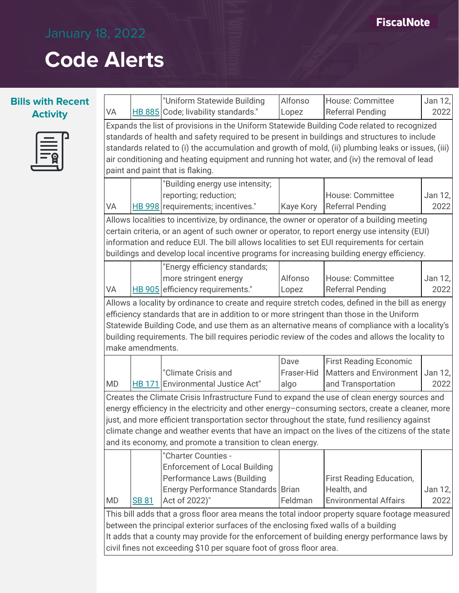### **FiscalNote**

# **Code Alerts**

| <b>Bills with Recent</b> |           |                  | "Uniform Statewide Building                                                                                                                                                                                                                                                                                                                                                                                                                                      | Alfonso                    | House: Committee                                                                      | Jan 12,         |
|--------------------------|-----------|------------------|------------------------------------------------------------------------------------------------------------------------------------------------------------------------------------------------------------------------------------------------------------------------------------------------------------------------------------------------------------------------------------------------------------------------------------------------------------------|----------------------------|---------------------------------------------------------------------------------------|-----------------|
| <b>Activity</b>          | VA        |                  | HB 885 Code; livability standards."                                                                                                                                                                                                                                                                                                                                                                                                                              | Lopez                      | <b>Referral Pending</b>                                                               | 2022            |
|                          |           |                  | Expands the list of provisions in the Uniform Statewide Building Code related to recognized<br>standards of health and safety required to be present in buildings and structures to include<br>standards related to (i) the accumulation and growth of mold, (ii) plumbing leaks or issues, (iii)<br>air conditioning and heating equipment and running hot water, and (iv) the removal of lead<br>paint and paint that is flaking.                              |                            |                                                                                       |                 |
|                          | VA        |                  | "Building energy use intensity;<br>reporting; reduction;<br>HB 998 requirements; incentives."                                                                                                                                                                                                                                                                                                                                                                    | <b>Kaye Kory</b>           | House: Committee<br><b>Referral Pending</b>                                           | Jan 12,<br>2022 |
|                          |           |                  | Allows localities to incentivize, by ordinance, the owner or operator of a building meeting<br>certain criteria, or an agent of such owner or operator, to report energy use intensity (EUI)<br>information and reduce EUI. The bill allows localities to set EUI requirements for certain<br>buildings and develop local incentive programs for increasing building energy efficiency.                                                                          |                            |                                                                                       |                 |
|                          | VA        |                  | "Energy efficiency standards;<br>more stringent energy<br>HB 905 efficiency requirements."                                                                                                                                                                                                                                                                                                                                                                       | Alfonso<br>Lopez           | <b>House: Committee</b><br><b>Referral Pending</b>                                    | Jan 12,<br>2022 |
|                          |           | make amendments. | Allows a locality by ordinance to create and require stretch codes, defined in the bill as energy<br>efficiency standards that are in addition to or more stringent than those in the Uniform<br>Statewide Building Code, and use them as an alternative means of compliance with a locality's<br>building requirements. The bill requires periodic review of the codes and allows the locality to                                                               |                            |                                                                                       |                 |
|                          | <b>MD</b> |                  | "Climate Crisis and<br>HB 171 Environmental Justice Act"                                                                                                                                                                                                                                                                                                                                                                                                         | Dave<br>Fraser-Hid<br>algo | <b>First Reading Economic</b><br><b>Matters and Environment</b><br>and Transportation | Jan 12,<br>2022 |
|                          |           |                  | Creates the Climate Crisis Infrastructure Fund to expand the use of clean energy sources and<br>energy efficiency in the electricity and other energy-consuming sectors, create a cleaner, more<br>just, and more efficient transportation sector throughout the state, fund resiliency against<br>climate change and weather events that have an impact on the lives of the citizens of the state<br>and its economy, and promote a transition to clean energy. |                            |                                                                                       |                 |
|                          | <b>MD</b> | <b>SB 81</b>     | "Charter Counties -<br><b>Enforcement of Local Building</b><br><b>Performance Laws (Building</b><br>Energy Performance Standards   Brian<br>Act of 2022)"                                                                                                                                                                                                                                                                                                        | Feldman                    | First Reading Education,<br>Health, and<br><b>Environmental Affairs</b>               | Jan 12,<br>2022 |
|                          |           |                  | This bill adds that a gross floor area means the total indoor property square footage measured<br>between the principal exterior surfaces of the enclosing fixed walls of a building<br>It adds that a county may provide for the enforcement of building energy performance laws by<br>civil fines not exceeding \$10 per square foot of gross floor area.                                                                                                      |                            |                                                                                       |                 |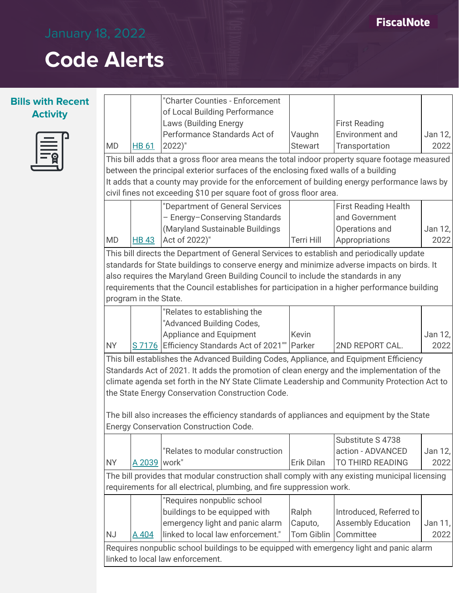$\Gamma$ 



|           |                       | "Charter Counties - Enforcement                                                                                                                                     |                          |                                                |         |
|-----------|-----------------------|---------------------------------------------------------------------------------------------------------------------------------------------------------------------|--------------------------|------------------------------------------------|---------|
|           |                       | of Local Building Performance<br>Laws (Building Energy                                                                                                              |                          |                                                |         |
|           |                       | Performance Standards Act of                                                                                                                                        |                          | <b>First Reading</b><br><b>Environment and</b> | Jan 12, |
| MD        | HB 61                 | $2022)$ "                                                                                                                                                           | Vaughn<br><b>Stewart</b> | Transportation                                 | 2022    |
|           |                       |                                                                                                                                                                     |                          |                                                |         |
|           |                       | This bill adds that a gross floor area means the total indoor property square footage measured                                                                      |                          |                                                |         |
|           |                       | between the principal exterior surfaces of the enclosing fixed walls of a building                                                                                  |                          |                                                |         |
|           |                       | It adds that a county may provide for the enforcement of building energy performance laws by<br>civil fines not exceeding \$10 per square foot of gross floor area. |                          |                                                |         |
|           |                       | "Department of General Services                                                                                                                                     |                          | <b>First Reading Health</b>                    |         |
|           |                       | - Energy-Conserving Standards                                                                                                                                       |                          | and Government                                 |         |
|           |                       | (Maryland Sustainable Buildings                                                                                                                                     |                          | Operations and                                 | Jan 12, |
| MD        | <b>HB 43</b>          | Act of 2022)"                                                                                                                                                       | <b>Terri Hill</b>        | Appropriations                                 | 2022    |
|           |                       | This bill directs the Department of General Services to establish and periodically update                                                                           |                          |                                                |         |
|           |                       | standards for State buildings to conserve energy and minimize adverse impacts on birds. It                                                                          |                          |                                                |         |
|           |                       | also requires the Maryland Green Building Council to include the standards in any                                                                                   |                          |                                                |         |
|           |                       | requirements that the Council establishes for participation in a higher performance building                                                                        |                          |                                                |         |
|           | program in the State. |                                                                                                                                                                     |                          |                                                |         |
|           |                       | "Relates to establishing the                                                                                                                                        |                          |                                                |         |
|           |                       | "Advanced Building Codes,                                                                                                                                           |                          |                                                |         |
|           |                       | Appliance and Equipment                                                                                                                                             | <b>Kevin</b>             |                                                | Jan 12, |
| <b>NY</b> |                       | S 7176 Efficiency Standards Act of 2021"   Parker                                                                                                                   |                          | 2ND REPORT CAL.                                | 2022    |
|           |                       | This bill establishes the Advanced Building Codes, Appliance, and Equipment Efficiency                                                                              |                          |                                                |         |
|           |                       | Standards Act of 2021. It adds the promotion of clean energy and the implementation of the                                                                          |                          |                                                |         |
|           |                       | climate agenda set forth in the NY State Climate Leadership and Community Protection Act to                                                                         |                          |                                                |         |
|           |                       | the State Energy Conservation Construction Code.                                                                                                                    |                          |                                                |         |
|           |                       |                                                                                                                                                                     |                          |                                                |         |
|           |                       | The bill also increases the efficiency standards of appliances and equipment by the State                                                                           |                          |                                                |         |
|           |                       | <b>Energy Conservation Construction Code.</b>                                                                                                                       |                          |                                                |         |
|           |                       |                                                                                                                                                                     |                          | Substitute S 4738                              |         |
|           |                       | "Relates to modular construction                                                                                                                                    |                          | action - ADVANCED                              | Jan 12, |
| NY        | A 2039   work"        |                                                                                                                                                                     | Erik Dilan               | <b>TO THIRD READING</b>                        | 2022    |
|           |                       | The bill provides that modular construction shall comply with any existing municipal licensing                                                                      |                          |                                                |         |
|           |                       | requirements for all electrical, plumbing, and fire suppression work.                                                                                               |                          |                                                |         |
|           |                       | "Requires nonpublic school                                                                                                                                          |                          |                                                |         |
|           |                       | buildings to be equipped with                                                                                                                                       | Ralph                    | Introduced, Referred to                        |         |
|           |                       | emergency light and panic alarm                                                                                                                                     | Caputo,                  | <b>Assembly Education</b>                      | Jan 11, |
| <b>NJ</b> | <u>A 404</u>          | linked to local law enforcement."                                                                                                                                   | <b>Tom Giblin</b>        | Committee                                      | 2022    |
|           |                       | Requires nonpublic school buildings to be equipped with emergency light and panic alarm                                                                             |                          |                                                |         |
|           |                       | linked to local law enforcement.                                                                                                                                    |                          |                                                |         |
|           |                       |                                                                                                                                                                     |                          |                                                |         |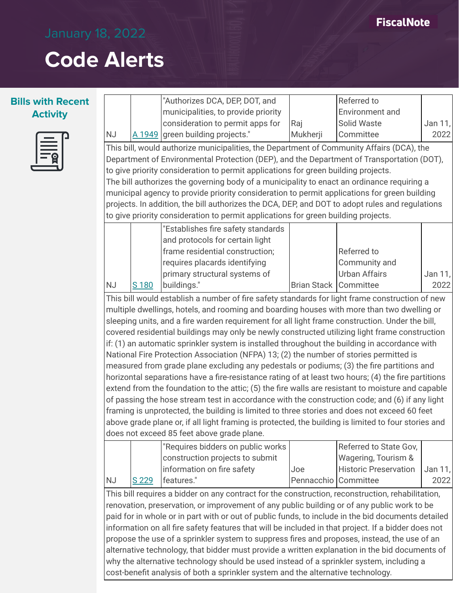#### **Bills with Recent Activity**



|           |                                                                                          | "Authorizes DCA, DEP, DOT, and                                                                       |                      | Referred to                  |         |  |  |
|-----------|------------------------------------------------------------------------------------------|------------------------------------------------------------------------------------------------------|----------------------|------------------------------|---------|--|--|
|           |                                                                                          | municipalities, to provide priority                                                                  |                      | Environment and              |         |  |  |
|           |                                                                                          | consideration to permit apps for                                                                     | Raj                  | Solid Waste                  | Jan 11, |  |  |
| <b>NJ</b> |                                                                                          | A 1949 green building projects."                                                                     | Mukherji             | Committee                    | 2022    |  |  |
|           |                                                                                          | This bill, would authorize municipalities, the Department of Community Affairs (DCA), the            |                      |                              |         |  |  |
|           |                                                                                          | Department of Environmental Protection (DEP), and the Department of Transportation (DOT),            |                      |                              |         |  |  |
|           |                                                                                          | to give priority consideration to permit applications for green building projects.                   |                      |                              |         |  |  |
|           |                                                                                          | The bill authorizes the governing body of a municipality to enact an ordinance requiring a           |                      |                              |         |  |  |
|           |                                                                                          | municipal agency to provide priority consideration to permit applications for green building         |                      |                              |         |  |  |
|           |                                                                                          | projects. In addition, the bill authorizes the DCA, DEP, and DOT to adopt rules and regulations      |                      |                              |         |  |  |
|           |                                                                                          | to give priority consideration to permit applications for green building projects.                   |                      |                              |         |  |  |
|           |                                                                                          | "Establishes fire safety standards                                                                   |                      |                              |         |  |  |
|           |                                                                                          | and protocols for certain light                                                                      |                      |                              |         |  |  |
|           |                                                                                          | frame residential construction;                                                                      |                      | Referred to                  |         |  |  |
|           |                                                                                          | requires placards identifying                                                                        |                      | Community and                |         |  |  |
|           |                                                                                          | primary structural systems of                                                                        |                      | <b>Urban Affairs</b>         | Jan 11, |  |  |
| <b>NJ</b> | S 180                                                                                    | buildings."                                                                                          | Brian Stack          | Committee                    | 2022    |  |  |
|           |                                                                                          | This bill would establish a number of fire safety standards for light frame construction of new      |                      |                              |         |  |  |
|           |                                                                                          | multiple dwellings, hotels, and rooming and boarding houses with more than two dwelling or           |                      |                              |         |  |  |
|           |                                                                                          | sleeping units, and a fire warden requirement for all light frame construction. Under the bill,      |                      |                              |         |  |  |
|           |                                                                                          | covered residential buildings may only be newly constructed utilizing light frame construction       |                      |                              |         |  |  |
|           |                                                                                          | if: (1) an automatic sprinkler system is installed throughout the building in accordance with        |                      |                              |         |  |  |
|           |                                                                                          | National Fire Protection Association (NFPA) 13; (2) the number of stories permitted is               |                      |                              |         |  |  |
|           |                                                                                          | measured from grade plane excluding any pedestals or podiums; (3) the fire partitions and            |                      |                              |         |  |  |
|           |                                                                                          | horizontal separations have a fire-resistance rating of at least two hours; (4) the fire partitions  |                      |                              |         |  |  |
|           |                                                                                          | extend from the foundation to the attic; (5) the fire walls are resistant to moisture and capable    |                      |                              |         |  |  |
|           |                                                                                          | of passing the hose stream test in accordance with the construction code; and (6) if any light       |                      |                              |         |  |  |
|           |                                                                                          | framing is unprotected, the building is limited to three stories and does not exceed 60 feet         |                      |                              |         |  |  |
|           |                                                                                          | above grade plane or, if all light framing is protected, the building is limited to four stories and |                      |                              |         |  |  |
|           |                                                                                          | does not exceed 85 feet above grade plane.                                                           |                      |                              |         |  |  |
|           |                                                                                          | "Requires bidders on public works                                                                    |                      | Referred to State Gov,       |         |  |  |
|           |                                                                                          | construction projects to submit                                                                      |                      | Wagering, Tourism &          |         |  |  |
|           |                                                                                          | information on fire safety                                                                           | Joe                  | <b>Historic Preservation</b> | Jan 11, |  |  |
| <b>NJ</b> | S 229                                                                                    | features."                                                                                           | Pennacchio Committee |                              | 2022    |  |  |
|           |                                                                                          | This bill requires a bidder on any contract for the construction, reconstruction, rehabilitation,    |                      |                              |         |  |  |
|           |                                                                                          | renovation, preservation, or improvement of any public building or of any public work to be          |                      |                              |         |  |  |
|           |                                                                                          | paid for in whole or in part with or out of public funds, to include in the bid documents detailed   |                      |                              |         |  |  |
|           |                                                                                          | information on all fire safety features that will be included in that project. If a bidder does not  |                      |                              |         |  |  |
|           |                                                                                          | propose the use of a sprinkler system to suppress fires and proposes, instead, the use of an         |                      |                              |         |  |  |
|           |                                                                                          | alternative technology, that bidder must provide a written explanation in the bid documents of       |                      |                              |         |  |  |
|           | why the alternative technology should be used instead of a sprinkler system, including a |                                                                                                      |                      |                              |         |  |  |

cost-benefit analysis of both a sprinkler system and the alternative technology.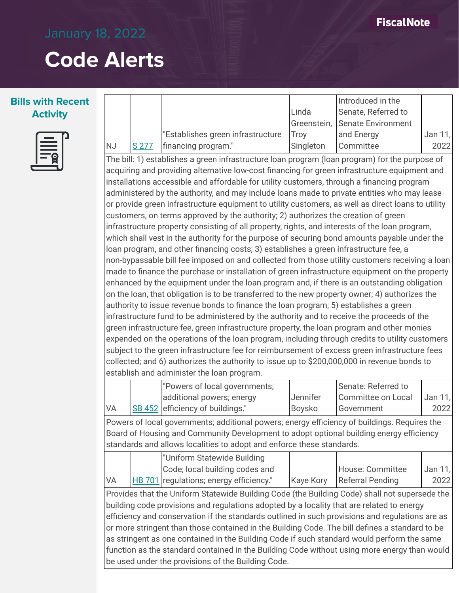т

## **Code Alerts**

 $\Gamma$ 



|                                                                                                 |       |                                                                                                                                                                                                                                                                                                                                                                                                                                                                                                                                                                                                                                                                                                                                                                                                                                                                                                                                                                                                                                                                                                                                                                                                                                                                                                                                                                                                                                                                                                                                                                                                                                                                                                                                                                                                                                                                                                                                                               |                    | Introduced in the                       |                 |
|-------------------------------------------------------------------------------------------------|-------|---------------------------------------------------------------------------------------------------------------------------------------------------------------------------------------------------------------------------------------------------------------------------------------------------------------------------------------------------------------------------------------------------------------------------------------------------------------------------------------------------------------------------------------------------------------------------------------------------------------------------------------------------------------------------------------------------------------------------------------------------------------------------------------------------------------------------------------------------------------------------------------------------------------------------------------------------------------------------------------------------------------------------------------------------------------------------------------------------------------------------------------------------------------------------------------------------------------------------------------------------------------------------------------------------------------------------------------------------------------------------------------------------------------------------------------------------------------------------------------------------------------------------------------------------------------------------------------------------------------------------------------------------------------------------------------------------------------------------------------------------------------------------------------------------------------------------------------------------------------------------------------------------------------------------------------------------------------|--------------------|-----------------------------------------|-----------------|
|                                                                                                 |       |                                                                                                                                                                                                                                                                                                                                                                                                                                                                                                                                                                                                                                                                                                                                                                                                                                                                                                                                                                                                                                                                                                                                                                                                                                                                                                                                                                                                                                                                                                                                                                                                                                                                                                                                                                                                                                                                                                                                                               | Linda              | Senate, Referred to                     |                 |
|                                                                                                 |       |                                                                                                                                                                                                                                                                                                                                                                                                                                                                                                                                                                                                                                                                                                                                                                                                                                                                                                                                                                                                                                                                                                                                                                                                                                                                                                                                                                                                                                                                                                                                                                                                                                                                                                                                                                                                                                                                                                                                                               | Greenstein,        | <b>Senate Environment</b>               |                 |
|                                                                                                 |       | "Establishes green infrastructure                                                                                                                                                                                                                                                                                                                                                                                                                                                                                                                                                                                                                                                                                                                                                                                                                                                                                                                                                                                                                                                                                                                                                                                                                                                                                                                                                                                                                                                                                                                                                                                                                                                                                                                                                                                                                                                                                                                             | Troy               | and Energy                              | Jan 11,         |
| <b>NJ</b>                                                                                       | S 277 | financing program."                                                                                                                                                                                                                                                                                                                                                                                                                                                                                                                                                                                                                                                                                                                                                                                                                                                                                                                                                                                                                                                                                                                                                                                                                                                                                                                                                                                                                                                                                                                                                                                                                                                                                                                                                                                                                                                                                                                                           | Singleton          | Committee                               | 2022            |
|                                                                                                 |       | The bill: 1) establishes a green infrastructure loan program (loan program) for the purpose of<br>acquiring and providing alternative low-cost financing for green infrastructure equipment and<br>installations accessible and affordable for utility customers, through a financing program<br>administered by the authority, and may include loans made to private entities who may lease<br>or provide green infrastructure equipment to utility customers, as well as direct loans to utility<br>customers, on terms approved by the authority; 2) authorizes the creation of green<br>infrastructure property consisting of all property, rights, and interests of the loan program,<br>which shall vest in the authority for the purpose of securing bond amounts payable under the<br>loan program, and other financing costs; 3) establishes a green infrastructure fee, a<br>non-bypassable bill fee imposed on and collected from those utility customers receiving a loan<br>made to finance the purchase or installation of green infrastructure equipment on the property<br>enhanced by the equipment under the loan program and, if there is an outstanding obligation<br>on the loan, that obligation is to be transferred to the new property owner; 4) authorizes the<br>authority to issue revenue bonds to finance the loan program; 5) establishes a green<br>infrastructure fund to be administered by the authority and to receive the proceeds of the<br>green infrastructure fee, green infrastructure property, the loan program and other monies<br>expended on the operations of the loan program, including through credits to utility customers<br>subject to the green infrastructure fee for reimbursement of excess green infrastructure fees<br>collected; and 6) authorizes the authority to issue up to \$200,000,000 in revenue bonds to<br>establish and administer the loan program.<br>"Powers of local governments; |                    | Senate: Referred to                     |                 |
| VA                                                                                              |       | additional powers; energy<br>SB 452 efficiency of buildings."                                                                                                                                                                                                                                                                                                                                                                                                                                                                                                                                                                                                                                                                                                                                                                                                                                                                                                                                                                                                                                                                                                                                                                                                                                                                                                                                                                                                                                                                                                                                                                                                                                                                                                                                                                                                                                                                                                 | Jennifer<br>Boysko | <b>Committee on Local</b><br>Government | Jan 11,<br>2022 |
|                                                                                                 |       |                                                                                                                                                                                                                                                                                                                                                                                                                                                                                                                                                                                                                                                                                                                                                                                                                                                                                                                                                                                                                                                                                                                                                                                                                                                                                                                                                                                                                                                                                                                                                                                                                                                                                                                                                                                                                                                                                                                                                               |                    |                                         |                 |
|                                                                                                 |       | Powers of local governments; additional powers; energy efficiency of buildings. Requires the<br>Board of Housing and Community Development to adopt optional building energy efficiency<br>standards and allows localities to adopt and enforce these standards.                                                                                                                                                                                                                                                                                                                                                                                                                                                                                                                                                                                                                                                                                                                                                                                                                                                                                                                                                                                                                                                                                                                                                                                                                                                                                                                                                                                                                                                                                                                                                                                                                                                                                              |                    |                                         |                 |
|                                                                                                 |       | "Uniform Statewide Building                                                                                                                                                                                                                                                                                                                                                                                                                                                                                                                                                                                                                                                                                                                                                                                                                                                                                                                                                                                                                                                                                                                                                                                                                                                                                                                                                                                                                                                                                                                                                                                                                                                                                                                                                                                                                                                                                                                                   |                    |                                         |                 |
|                                                                                                 |       | Code; local building codes and                                                                                                                                                                                                                                                                                                                                                                                                                                                                                                                                                                                                                                                                                                                                                                                                                                                                                                                                                                                                                                                                                                                                                                                                                                                                                                                                                                                                                                                                                                                                                                                                                                                                                                                                                                                                                                                                                                                                |                    | House: Committee                        | Jan 11,         |
| VA                                                                                              |       | HB 701 regulations; energy efficiency."                                                                                                                                                                                                                                                                                                                                                                                                                                                                                                                                                                                                                                                                                                                                                                                                                                                                                                                                                                                                                                                                                                                                                                                                                                                                                                                                                                                                                                                                                                                                                                                                                                                                                                                                                                                                                                                                                                                       | <b>Kaye Kory</b>   | <b>Referral Pending</b>                 | 2022            |
| efficiency and conservation if the standards outlined in such provisions and regulations are as |       | Provides that the Uniform Statewide Building Code (the Building Code) shall not supersede the<br>building code provisions and regulations adopted by a locality that are related to energy                                                                                                                                                                                                                                                                                                                                                                                                                                                                                                                                                                                                                                                                                                                                                                                                                                                                                                                                                                                                                                                                                                                                                                                                                                                                                                                                                                                                                                                                                                                                                                                                                                                                                                                                                                    |                    |                                         |                 |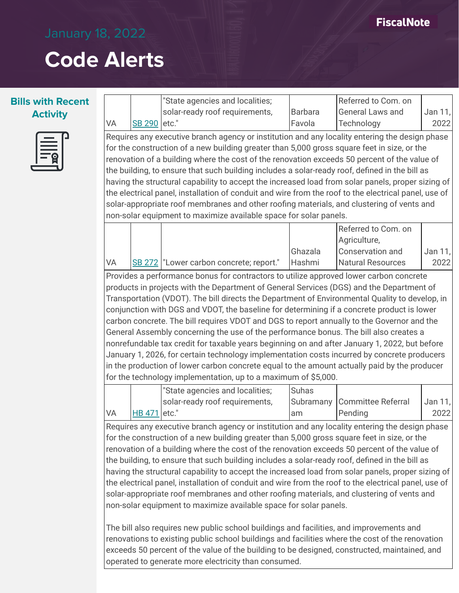

|                                                                                                                                                                                                           |                                                      | "State agencies and localities;                                                                      |                | Referred to Com. on       |         |  |  |  |
|-----------------------------------------------------------------------------------------------------------------------------------------------------------------------------------------------------------|------------------------------------------------------|------------------------------------------------------------------------------------------------------|----------------|---------------------------|---------|--|--|--|
|                                                                                                                                                                                                           |                                                      | solar-ready roof requirements,                                                                       | <b>Barbara</b> | General Laws and          | Jan 11, |  |  |  |
| VA                                                                                                                                                                                                        | <b>SB 290</b>                                        | etc."                                                                                                | Favola         | Technology                | 2022    |  |  |  |
|                                                                                                                                                                                                           |                                                      | Requires any executive branch agency or institution and any locality entering the design phase       |                |                           |         |  |  |  |
|                                                                                                                                                                                                           |                                                      | for the construction of a new building greater than 5,000 gross square feet in size, or the          |                |                           |         |  |  |  |
|                                                                                                                                                                                                           |                                                      | renovation of a building where the cost of the renovation exceeds 50 percent of the value of         |                |                           |         |  |  |  |
|                                                                                                                                                                                                           |                                                      | the building, to ensure that such building includes a solar-ready roof, defined in the bill as       |                |                           |         |  |  |  |
|                                                                                                                                                                                                           |                                                      | having the structural capability to accept the increased load from solar panels, proper sizing of    |                |                           |         |  |  |  |
|                                                                                                                                                                                                           |                                                      | the electrical panel, installation of conduit and wire from the roof to the electrical panel, use of |                |                           |         |  |  |  |
|                                                                                                                                                                                                           |                                                      | solar-appropriate roof membranes and other roofing materials, and clustering of vents and            |                |                           |         |  |  |  |
|                                                                                                                                                                                                           |                                                      | non-solar equipment to maximize available space for solar panels.                                    |                |                           |         |  |  |  |
|                                                                                                                                                                                                           |                                                      |                                                                                                      |                | Referred to Com. on       |         |  |  |  |
|                                                                                                                                                                                                           |                                                      |                                                                                                      |                | Agriculture,              |         |  |  |  |
|                                                                                                                                                                                                           |                                                      |                                                                                                      | Ghazala        | Conservation and          | Jan 11, |  |  |  |
| VA                                                                                                                                                                                                        |                                                      | SB 272   "Lower carbon concrete; report."                                                            | Hashmi         | <b>Natural Resources</b>  | 2022    |  |  |  |
|                                                                                                                                                                                                           |                                                      |                                                                                                      |                |                           |         |  |  |  |
|                                                                                                                                                                                                           |                                                      | Provides a performance bonus for contractors to utilize approved lower carbon concrete               |                |                           |         |  |  |  |
|                                                                                                                                                                                                           |                                                      | products in projects with the Department of General Services (DGS) and the Department of             |                |                           |         |  |  |  |
|                                                                                                                                                                                                           |                                                      | Transportation (VDOT). The bill directs the Department of Environmental Quality to develop, in       |                |                           |         |  |  |  |
|                                                                                                                                                                                                           |                                                      | conjunction with DGS and VDOT, the baseline for determining if a concrete product is lower           |                |                           |         |  |  |  |
|                                                                                                                                                                                                           |                                                      | carbon concrete. The bill requires VDOT and DGS to report annually to the Governor and the           |                |                           |         |  |  |  |
|                                                                                                                                                                                                           |                                                      | General Assembly concerning the use of the performance bonus. The bill also creates a                |                |                           |         |  |  |  |
|                                                                                                                                                                                                           |                                                      | nonrefundable tax credit for taxable years beginning on and after January 1, 2022, but before        |                |                           |         |  |  |  |
|                                                                                                                                                                                                           |                                                      | January 1, 2026, for certain technology implementation costs incurred by concrete producers          |                |                           |         |  |  |  |
|                                                                                                                                                                                                           |                                                      | in the production of lower carbon concrete equal to the amount actually paid by the producer         |                |                           |         |  |  |  |
|                                                                                                                                                                                                           |                                                      | for the technology implementation, up to a maximum of \$5,000.                                       |                |                           |         |  |  |  |
|                                                                                                                                                                                                           |                                                      | "State agencies and localities;                                                                      | Suhas          |                           |         |  |  |  |
|                                                                                                                                                                                                           |                                                      | solar-ready roof requirements,                                                                       | Subramany      | <b>Committee Referral</b> | Jan 11, |  |  |  |
| VA                                                                                                                                                                                                        | <b>HB 471</b>                                        | etc."                                                                                                | am             | Pending                   | 2022    |  |  |  |
|                                                                                                                                                                                                           |                                                      | Requires any executive branch agency or institution and any locality entering the design phase       |                |                           |         |  |  |  |
|                                                                                                                                                                                                           |                                                      | for the construction of a new building greater than 5,000 gross square feet in size, or the          |                |                           |         |  |  |  |
|                                                                                                                                                                                                           |                                                      | renovation of a building where the cost of the renovation exceeds 50 percent of the value of         |                |                           |         |  |  |  |
| the building, to ensure that such building includes a solar-ready roof, defined in the bill as                                                                                                            |                                                      |                                                                                                      |                |                           |         |  |  |  |
|                                                                                                                                                                                                           |                                                      |                                                                                                      |                |                           |         |  |  |  |
| having the structural capability to accept the increased load from solar panels, proper sizing of<br>the electrical panel, installation of conduit and wire from the roof to the electrical panel, use of |                                                      |                                                                                                      |                |                           |         |  |  |  |
| solar-appropriate roof membranes and other roofing materials, and clustering of vents and                                                                                                                 |                                                      |                                                                                                      |                |                           |         |  |  |  |
|                                                                                                                                                                                                           |                                                      | non-solar equipment to maximize available space for solar panels.                                    |                |                           |         |  |  |  |
|                                                                                                                                                                                                           |                                                      |                                                                                                      |                |                           |         |  |  |  |
|                                                                                                                                                                                                           |                                                      | The bill also requires new public school buildings and facilities, and improvements and              |                |                           |         |  |  |  |
|                                                                                                                                                                                                           |                                                      | renovations to existing public school buildings and facilities where the cost of the renovation      |                |                           |         |  |  |  |
|                                                                                                                                                                                                           |                                                      | exceeds 50 percent of the value of the building to be designed, constructed, maintained, and         |                |                           |         |  |  |  |
|                                                                                                                                                                                                           |                                                      |                                                                                                      |                |                           |         |  |  |  |
|                                                                                                                                                                                                           | operated to generate more electricity than consumed. |                                                                                                      |                |                           |         |  |  |  |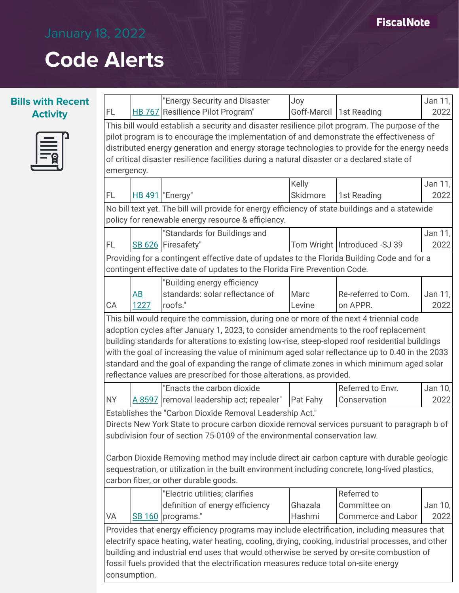### **FiscalNote**

# **Code Alerts**



|                                                                                                                                                                                                                                                                                                                                                                                                                                                                                  |      | "Energy Security and Disaster                                                                                                                                            | Joy             |                                | Jan 11, |  |  |
|----------------------------------------------------------------------------------------------------------------------------------------------------------------------------------------------------------------------------------------------------------------------------------------------------------------------------------------------------------------------------------------------------------------------------------------------------------------------------------|------|--------------------------------------------------------------------------------------------------------------------------------------------------------------------------|-----------------|--------------------------------|---------|--|--|
| FL                                                                                                                                                                                                                                                                                                                                                                                                                                                                               |      | HB 767 Resilience Pilot Program"                                                                                                                                         |                 | Goff-Marcil 1st Reading        | 2022    |  |  |
| This bill would establish a security and disaster resilience pilot program. The purpose of the<br>pilot program is to encourage the implementation of and demonstrate the effectiveness of<br>distributed energy generation and energy storage technologies to provide for the energy needs<br>of critical disaster resilience facilities during a natural disaster or a declared state of<br>emergency.                                                                         |      |                                                                                                                                                                          |                 |                                |         |  |  |
|                                                                                                                                                                                                                                                                                                                                                                                                                                                                                  |      |                                                                                                                                                                          | Kelly           |                                | Jan 11, |  |  |
| FL                                                                                                                                                                                                                                                                                                                                                                                                                                                                               |      | <b>HB 491</b>   "Energy"                                                                                                                                                 | Skidmore        | 1st Reading                    | 2022    |  |  |
|                                                                                                                                                                                                                                                                                                                                                                                                                                                                                  |      | No bill text yet. The bill will provide for energy efficiency of state buildings and a statewide                                                                         |                 |                                |         |  |  |
|                                                                                                                                                                                                                                                                                                                                                                                                                                                                                  |      | policy for renewable energy resource & efficiency.                                                                                                                       |                 |                                |         |  |  |
|                                                                                                                                                                                                                                                                                                                                                                                                                                                                                  |      | "Standards for Buildings and                                                                                                                                             |                 |                                | Jan 11, |  |  |
| FL                                                                                                                                                                                                                                                                                                                                                                                                                                                                               |      | SB 626 Firesafety"                                                                                                                                                       |                 | Tom Wright   Introduced -SJ 39 | 2022    |  |  |
|                                                                                                                                                                                                                                                                                                                                                                                                                                                                                  |      | Providing for a contingent effective date of updates to the Florida Building Code and for a<br>contingent effective date of updates to the Florida Fire Prevention Code. |                 |                                |         |  |  |
|                                                                                                                                                                                                                                                                                                                                                                                                                                                                                  |      | "Building energy efficiency                                                                                                                                              |                 |                                |         |  |  |
|                                                                                                                                                                                                                                                                                                                                                                                                                                                                                  | AB   | standards: solar reflectance of                                                                                                                                          | Marc            | Re-referred to Com.            | Jan 11, |  |  |
| СA                                                                                                                                                                                                                                                                                                                                                                                                                                                                               | 1227 | roofs."                                                                                                                                                                  | Levine          | on APPR.                       | 2022    |  |  |
| building standards for alterations to existing low-rise, steep-sloped roof residential buildings<br>with the goal of increasing the value of minimum aged solar reflectance up to 0.40 in the 2033<br>standard and the goal of expanding the range of climate zones in which minimum aged solar<br>reflectance values are prescribed for those alterations, as provided.                                                                                                         |      |                                                                                                                                                                          |                 |                                |         |  |  |
|                                                                                                                                                                                                                                                                                                                                                                                                                                                                                  |      | "Enacts the carbon dioxide                                                                                                                                               |                 | Referred to Envr.              | Jan 10, |  |  |
| <b>NY</b>                                                                                                                                                                                                                                                                                                                                                                                                                                                                        |      | A 8597 removal leadership act; repealer"                                                                                                                                 | <b>Pat Fahy</b> | Conservation                   | 2022    |  |  |
| Establishes the "Carbon Dioxide Removal Leadership Act."<br>Directs New York State to procure carbon dioxide removal services pursuant to paragraph b of<br>subdivision four of section 75-0109 of the environmental conservation law.<br>Carbon Dioxide Removing method may include direct air carbon capture with durable geologic<br>sequestration, or utilization in the built environment including concrete, long-lived plastics,<br>carbon fiber, or other durable goods. |      |                                                                                                                                                                          |                 |                                |         |  |  |
|                                                                                                                                                                                                                                                                                                                                                                                                                                                                                  |      | "Electric utilities; clarifies                                                                                                                                           |                 | Referred to                    |         |  |  |
|                                                                                                                                                                                                                                                                                                                                                                                                                                                                                  |      | definition of energy efficiency                                                                                                                                          | Ghazala         | Committee on                   | Jan 10, |  |  |
| VA                                                                                                                                                                                                                                                                                                                                                                                                                                                                               |      | SB 160 programs."                                                                                                                                                        | Hashmi          | <b>Commerce and Labor</b>      | 2022    |  |  |
|                                                                                                                                                                                                                                                                                                                                                                                                                                                                                  |      | Provides that energy efficiency programs may include electrification, including measures that                                                                            |                 |                                |         |  |  |
| electrify space heating, water heating, cooling, drying, cooking, industrial processes, and other<br>building and industrial end uses that would otherwise be served by on-site combustion of<br>fossil fuels provided that the electrification measures reduce total on-site energy<br>consumption.                                                                                                                                                                             |      |                                                                                                                                                                          |                 |                                |         |  |  |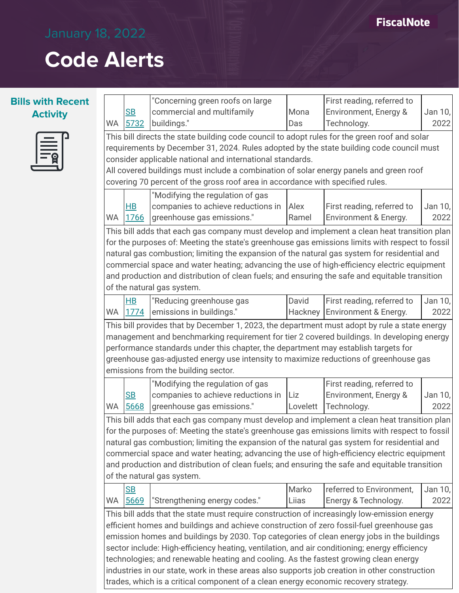### **Bills with Recent Activity**



|                                                                                                |                                                                                               | "Concerning green roofs on large                                                                |          | First reading, referred to |         |  |  |
|------------------------------------------------------------------------------------------------|-----------------------------------------------------------------------------------------------|-------------------------------------------------------------------------------------------------|----------|----------------------------|---------|--|--|
|                                                                                                | SB                                                                                            | commercial and multifamily                                                                      | Mona     | Environment, Energy &      | Jan 10, |  |  |
| WA                                                                                             | 5732                                                                                          | buildings."                                                                                     | Das      | Technology.                | 2022    |  |  |
|                                                                                                |                                                                                               | This bill directs the state building code council to adopt rules for the green roof and solar   |          |                            |         |  |  |
|                                                                                                |                                                                                               | requirements by December 31, 2024. Rules adopted by the state building code council must        |          |                            |         |  |  |
|                                                                                                |                                                                                               | consider applicable national and international standards.                                       |          |                            |         |  |  |
|                                                                                                |                                                                                               | All covered buildings must include a combination of solar energy panels and green roof          |          |                            |         |  |  |
|                                                                                                |                                                                                               | covering 70 percent of the gross roof area in accordance with specified rules.                  |          |                            |         |  |  |
|                                                                                                |                                                                                               | "Modifying the regulation of gas                                                                |          |                            |         |  |  |
|                                                                                                | $H$ B                                                                                         | companies to achieve reductions in                                                              | Alex     | First reading, referred to | Jan 10, |  |  |
| WA                                                                                             | 1766                                                                                          | greenhouse gas emissions."                                                                      | Ramel    | Environment & Energy.      | 2022    |  |  |
|                                                                                                |                                                                                               | This bill adds that each gas company must develop and implement a clean heat transition plan    |          |                            |         |  |  |
|                                                                                                |                                                                                               | for the purposes of: Meeting the state's greenhouse gas emissions limits with respect to fossil |          |                            |         |  |  |
|                                                                                                |                                                                                               | natural gas combustion; limiting the expansion of the natural gas system for residential and    |          |                            |         |  |  |
|                                                                                                |                                                                                               | commercial space and water heating; advancing the use of high-efficiency electric equipment     |          |                            |         |  |  |
|                                                                                                |                                                                                               | and production and distribution of clean fuels; and ensuring the safe and equitable transition  |          |                            |         |  |  |
|                                                                                                |                                                                                               | of the natural gas system.                                                                      |          |                            |         |  |  |
|                                                                                                | H <sub>B</sub>                                                                                | "Reducing greenhouse gas                                                                        | David    | First reading, referred to | Jan 10, |  |  |
| WA                                                                                             | 1774                                                                                          | emissions in buildings."                                                                        | Hackney  | Environment & Energy.      | 2022    |  |  |
|                                                                                                |                                                                                               | This bill provides that by December 1, 2023, the department must adopt by rule a state energy   |          |                            |         |  |  |
|                                                                                                | management and benchmarking requirement for tier 2 covered buildings. In developing energy    |                                                                                                 |          |                            |         |  |  |
|                                                                                                | performance standards under this chapter, the department may establish targets for            |                                                                                                 |          |                            |         |  |  |
|                                                                                                |                                                                                               | greenhouse gas-adjusted energy use intensity to maximize reductions of greenhouse gas           |          |                            |         |  |  |
|                                                                                                |                                                                                               | emissions from the building sector.                                                             |          |                            |         |  |  |
|                                                                                                |                                                                                               | "Modifying the regulation of gas                                                                |          | First reading, referred to |         |  |  |
|                                                                                                | SB                                                                                            | companies to achieve reductions in                                                              | Liz      | Environment, Energy &      | Jan 10, |  |  |
| <b>WA</b>                                                                                      | 5668                                                                                          | greenhouse gas emissions."                                                                      | Lovelett | Technology.                | 2022    |  |  |
|                                                                                                | This bill adds that each gas company must develop and implement a clean heat transition plan  |                                                                                                 |          |                            |         |  |  |
|                                                                                                |                                                                                               | for the purposes of: Meeting the state's greenhouse gas emissions limits with respect to fossil |          |                            |         |  |  |
|                                                                                                |                                                                                               | natural gas combustion; limiting the expansion of the natural gas system for residential and    |          |                            |         |  |  |
| commercial space and water heating; advancing the use of high-efficiency electric equipment    |                                                                                               |                                                                                                 |          |                            |         |  |  |
| and production and distribution of clean fuels; and ensuring the safe and equitable transition |                                                                                               |                                                                                                 |          |                            |         |  |  |
| of the natural gas system.                                                                     |                                                                                               |                                                                                                 |          |                            |         |  |  |
|                                                                                                | S <sub>B</sub>                                                                                |                                                                                                 | Marko    | referred to Environment,   | Jan 10, |  |  |
| WA                                                                                             | 5669                                                                                          | "Strengthening energy codes."                                                                   | Liias    | Energy & Technology.       | 2022    |  |  |
| This bill adds that the state must require construction of increasingly low-emission energy    |                                                                                               |                                                                                                 |          |                            |         |  |  |
|                                                                                                | efficient homes and buildings and achieve construction of zero fossil-fuel greenhouse gas     |                                                                                                 |          |                            |         |  |  |
|                                                                                                | emission homes and buildings by 2030. Top categories of clean energy jobs in the buildings    |                                                                                                 |          |                            |         |  |  |
| sector include: High-efficiency heating, ventilation, and air conditioning; energy efficiency  |                                                                                               |                                                                                                 |          |                            |         |  |  |
|                                                                                                | technologies; and renewable heating and cooling. As the fastest growing clean energy          |                                                                                                 |          |                            |         |  |  |
|                                                                                                | industries in our state, work in these areas also supports job creation in other construction |                                                                                                 |          |                            |         |  |  |

trades, which is a critical component of a clean energy economic recovery strategy.